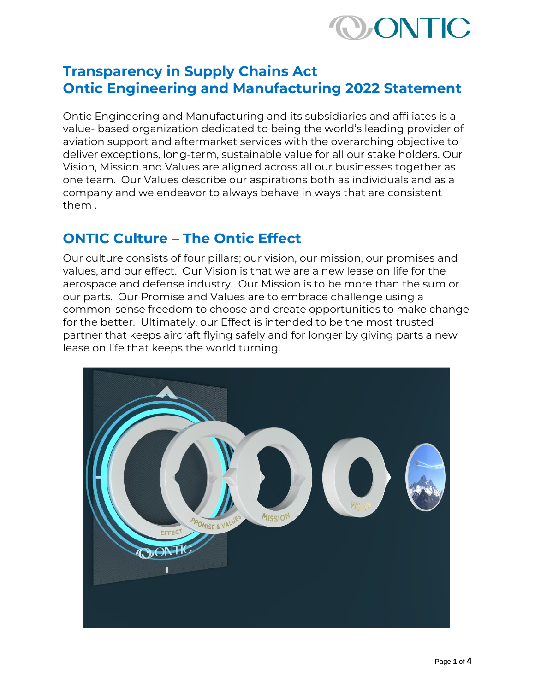

# **Transparency in Supply Chains Act Ontic Engineering and Manufacturing 2022 Statement**

Ontic Engineering and Manufacturing and its subsidiaries and affiliates is a value- based organization dedicated to being the world's leading provider of aviation support and aftermarket services with the overarching objective to deliver exceptions, long-term, sustainable value for all our stake holders. Our Vision, Mission and Values are aligned across all our businesses together as one team. Our Values describe our aspirations both as individuals and as a company and we endeavor to always behave in ways that are consistent them .

#### **ONTIC Culture – The Ontic Effect**

Our culture consists of four pillars; our vision, our mission, our promises and values, and our effect. Our Vision is that we are a new lease on life for the aerospace and defense industry. Our Mission is to be more than the sum or our parts. Our Promise and Values are to embrace challenge using a common-sense freedom to choose and create opportunities to make change for the better. Ultimately, our Effect is intended to be the most trusted partner that keeps aircraft flying safely and for longer by giving parts a new lease on life that keeps the world turning.

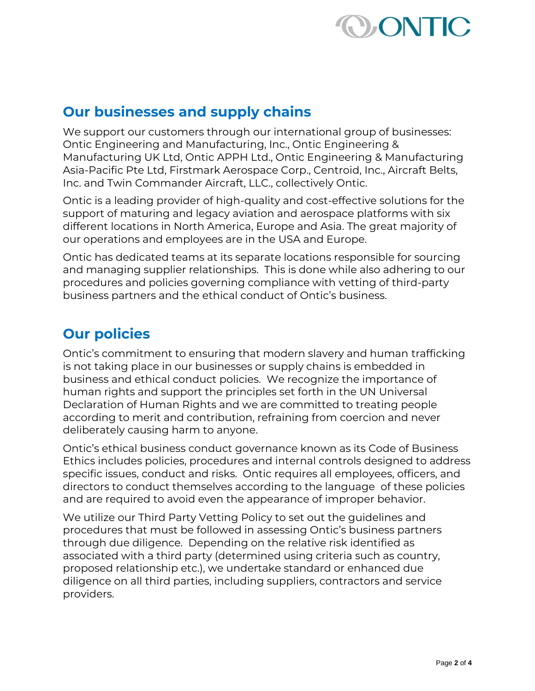

### **Our businesses and supply chains**

We support our customers through our international group of businesses: Ontic Engineering and Manufacturing, Inc., Ontic Engineering & Manufacturing UK Ltd, Ontic APPH Ltd., Ontic Engineering & Manufacturing Asia-Pacific Pte Ltd, Firstmark Aerospace Corp., Centroid, Inc., Aircraft Belts, Inc. and Twin Commander Aircraft, LLC., collectively Ontic.

Ontic is a leading provider of high-quality and cost-effective solutions for the support of maturing and legacy aviation and aerospace platforms with six different locations in North America, Europe and Asia. The great majority of our operations and employees are in the USA and Europe.

Ontic has dedicated teams at its separate locations responsible for sourcing and managing supplier relationships. This is done while also adhering to our procedures and policies governing compliance with vetting of third-party business partners and the ethical conduct of Ontic's business.

# **Our policies**

Ontic's commitment to ensuring that modern slavery and human trafficking is not taking place in our businesses or supply chains is embedded in business and ethical conduct policies. We recognize the importance of human rights and support the principles set forth in the UN Universal Declaration of Human Rights and we are committed to treating people according to merit and contribution, refraining from coercion and never deliberately causing harm to anyone.

Ontic's ethical business conduct governance known as its Code of Business Ethics includes policies, procedures and internal controls designed to address specific issues, conduct and risks. Ontic requires all employees, officers, and directors to conduct themselves according to the language of these policies and are required to avoid even the appearance of improper behavior.

We utilize our Third Party Vetting Policy to set out the guidelines and procedures that must be followed in assessing Ontic's business partners through due diligence. Depending on the relative risk identified as associated with a third party (determined using criteria such as country, proposed relationship etc.), we undertake standard or enhanced due diligence on all third parties, including suppliers, contractors and service providers.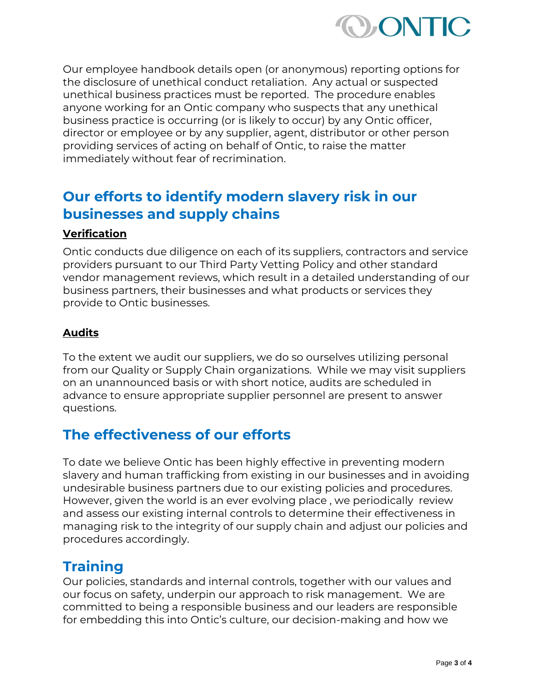

Our employee handbook details open (or anonymous) reporting options for the disclosure of unethical conduct retaliation. Any actual or suspected unethical business practices must be reported. The procedure enables anyone working for an Ontic company who suspects that any unethical business practice is occurring (or is likely to occur) by any Ontic officer, director or employee or by any supplier, agent, distributor or other person providing services of acting on behalf of Ontic, to raise the matter immediately without fear of recrimination.

## **Our efforts to identify modern slavery risk in our businesses and supply chains**

#### **Verification**

Ontic conducts due diligence on each of its suppliers, contractors and service providers pursuant to our Third Party Vetting Policy and other standard vendor management reviews, which result in a detailed understanding of our business partners, their businesses and what products or services they provide to Ontic businesses.

#### **Audits**

To the extent we audit our suppliers, we do so ourselves utilizing personal from our Quality or Supply Chain organizations. While we may visit suppliers on an unannounced basis or with short notice, audits are scheduled in advance to ensure appropriate supplier personnel are present to answer questions.

### **The effectiveness of our efforts**

To date we believe Ontic has been highly effective in preventing modern slavery and human trafficking from existing in our businesses and in avoiding undesirable business partners due to our existing policies and procedures. However, given the world is an ever evolving place , we periodically review and assess our existing internal controls to determine their effectiveness in managing risk to the integrity of our supply chain and adjust our policies and procedures accordingly.

#### **Training**

Our policies, standards and internal controls, together with our values and our focus on safety, underpin our approach to risk management. We are committed to being a responsible business and our leaders are responsible for embedding this into Ontic's culture, our decision-making and how we